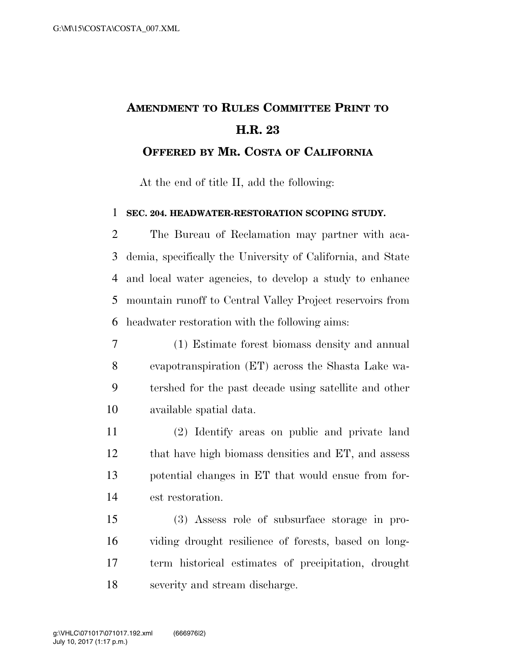## **AMENDMENT TO RULES COMMITTEE PRINT TO H.R. 23**

**OFFERED BY MR. COSTA OF CALIFORNIA**

At the end of title II, add the following:

## **SEC. 204. HEADWATER-RESTORATION SCOPING STUDY.**

 The Bureau of Reclamation may partner with aca- demia, specifically the University of California, and State and local water agencies, to develop a study to enhance mountain runoff to Central Valley Project reservoirs from headwater restoration with the following aims:

- (1) Estimate forest biomass density and annual evapotranspiration (ET) across the Shasta Lake wa- tershed for the past decade using satellite and other available spatial data.
- (2) Identify areas on public and private land that have high biomass densities and ET, and assess potential changes in ET that would ensue from for-est restoration.

 (3) Assess role of subsurface storage in pro- viding drought resilience of forests, based on long- term historical estimates of precipitation, drought severity and stream discharge.